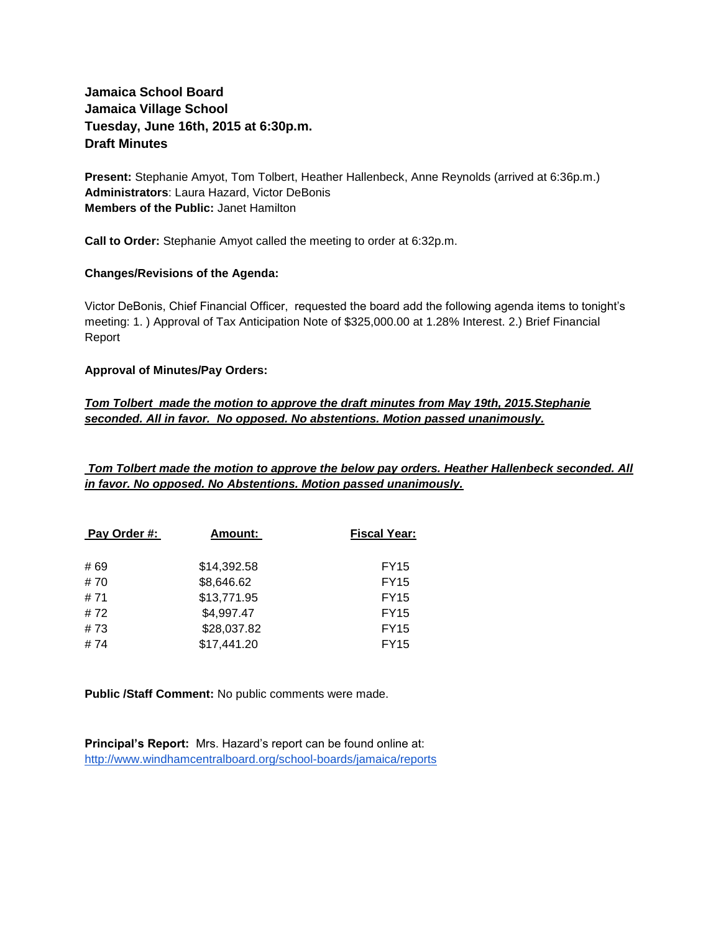# **Jamaica School Board Jamaica Village School Tuesday, June 16th, 2015 at 6:30p.m. Draft Minutes**

**Present:** Stephanie Amyot, Tom Tolbert, Heather Hallenbeck, Anne Reynolds (arrived at 6:36p.m.) **Administrators**: Laura Hazard, Victor DeBonis **Members of the Public:** Janet Hamilton

**Call to Order:** Stephanie Amyot called the meeting to order at 6:32p.m.

#### **Changes/Revisions of the Agenda:**

Victor DeBonis, Chief Financial Officer, requested the board add the following agenda items to tonight's meeting: 1. ) Approval of Tax Anticipation Note of \$325,000.00 at 1.28% Interest. 2.) Brief Financial Report

#### **Approval of Minutes/Pay Orders:**

## *Tom Tolbert made the motion to approve the draft minutes from May 19th, 2015.Stephanie seconded. All in favor. No opposed. No abstentions. Motion passed unanimously.*

*Tom Tolbert made the motion to approve the below pay orders. Heather Hallenbeck seconded. All in favor. No opposed. No Abstentions. Motion passed unanimously.*

| Pay Order #: | Amount:     | <b>Fiscal Year:</b> |
|--------------|-------------|---------------------|
|              |             |                     |
| # 69         | \$14,392.58 | <b>FY15</b>         |
| #70          | \$8,646.62  | <b>FY15</b>         |
| #71          | \$13,771.95 | <b>FY15</b>         |
| #72          | \$4,997.47  | <b>FY15</b>         |
| #73          | \$28,037.82 | <b>FY15</b>         |
| #74          | \$17,441.20 | <b>FY15</b>         |

**Public /Staff Comment:** No public comments were made.

**Principal's Report:** Mrs. Hazard's report can be found online at: <http://www.windhamcentralboard.org/school-boards/jamaica/reports>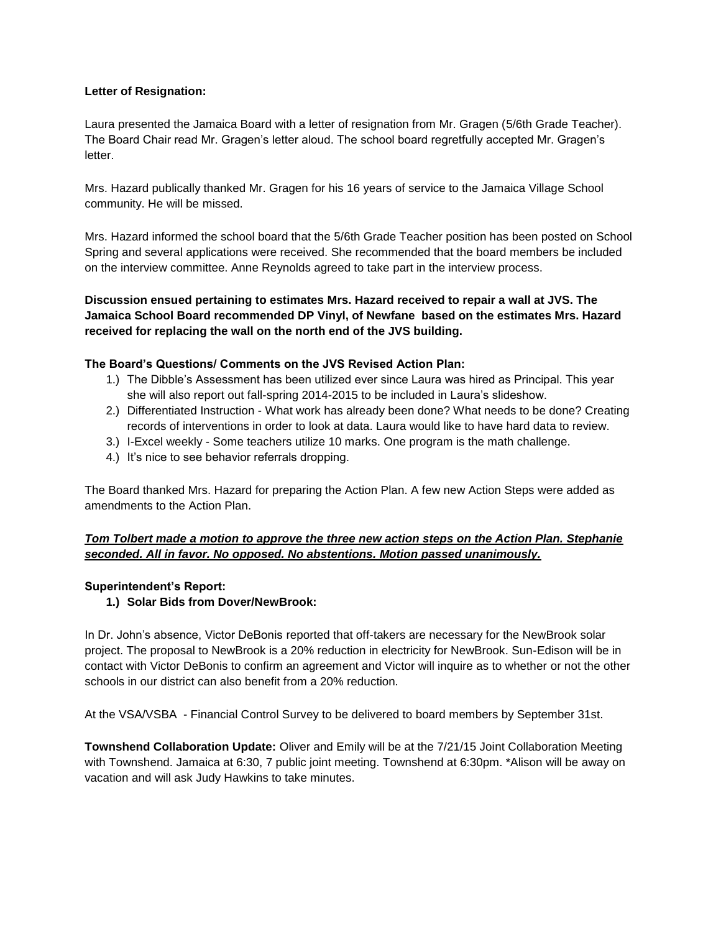### **Letter of Resignation:**

Laura presented the Jamaica Board with a letter of resignation from Mr. Gragen (5/6th Grade Teacher). The Board Chair read Mr. Gragen's letter aloud. The school board regretfully accepted Mr. Gragen's letter.

Mrs. Hazard publically thanked Mr. Gragen for his 16 years of service to the Jamaica Village School community. He will be missed.

Mrs. Hazard informed the school board that the 5/6th Grade Teacher position has been posted on School Spring and several applications were received. She recommended that the board members be included on the interview committee. Anne Reynolds agreed to take part in the interview process.

**Discussion ensued pertaining to estimates Mrs. Hazard received to repair a wall at JVS. The Jamaica School Board recommended DP Vinyl, of Newfane based on the estimates Mrs. Hazard received for replacing the wall on the north end of the JVS building.** 

#### **The Board's Questions/ Comments on the JVS Revised Action Plan:**

- 1.) The Dibble's Assessment has been utilized ever since Laura was hired as Principal. This year she will also report out fall-spring 2014-2015 to be included in Laura's slideshow.
- 2.) Differentiated Instruction What work has already been done? What needs to be done? Creating records of interventions in order to look at data. Laura would like to have hard data to review.
- 3.) I-Excel weekly Some teachers utilize 10 marks. One program is the math challenge.
- 4.) It's nice to see behavior referrals dropping.

The Board thanked Mrs. Hazard for preparing the Action Plan. A few new Action Steps were added as amendments to the Action Plan.

## *Tom Tolbert made a motion to approve the three new action steps on the Action Plan. Stephanie seconded. All in favor. No opposed. No abstentions. Motion passed unanimously.*

#### **Superintendent's Report:**

### **1.) Solar Bids from Dover/NewBrook:**

In Dr. John's absence, Victor DeBonis reported that off-takers are necessary for the NewBrook solar project. The proposal to NewBrook is a 20% reduction in electricity for NewBrook. Sun-Edison will be in contact with Victor DeBonis to confirm an agreement and Victor will inquire as to whether or not the other schools in our district can also benefit from a 20% reduction.

At the VSA/VSBA - Financial Control Survey to be delivered to board members by September 31st.

**Townshend Collaboration Update:** Oliver and Emily will be at the 7/21/15 Joint Collaboration Meeting with Townshend. Jamaica at 6:30, 7 public joint meeting. Townshend at 6:30pm. \*Alison will be away on vacation and will ask Judy Hawkins to take minutes.